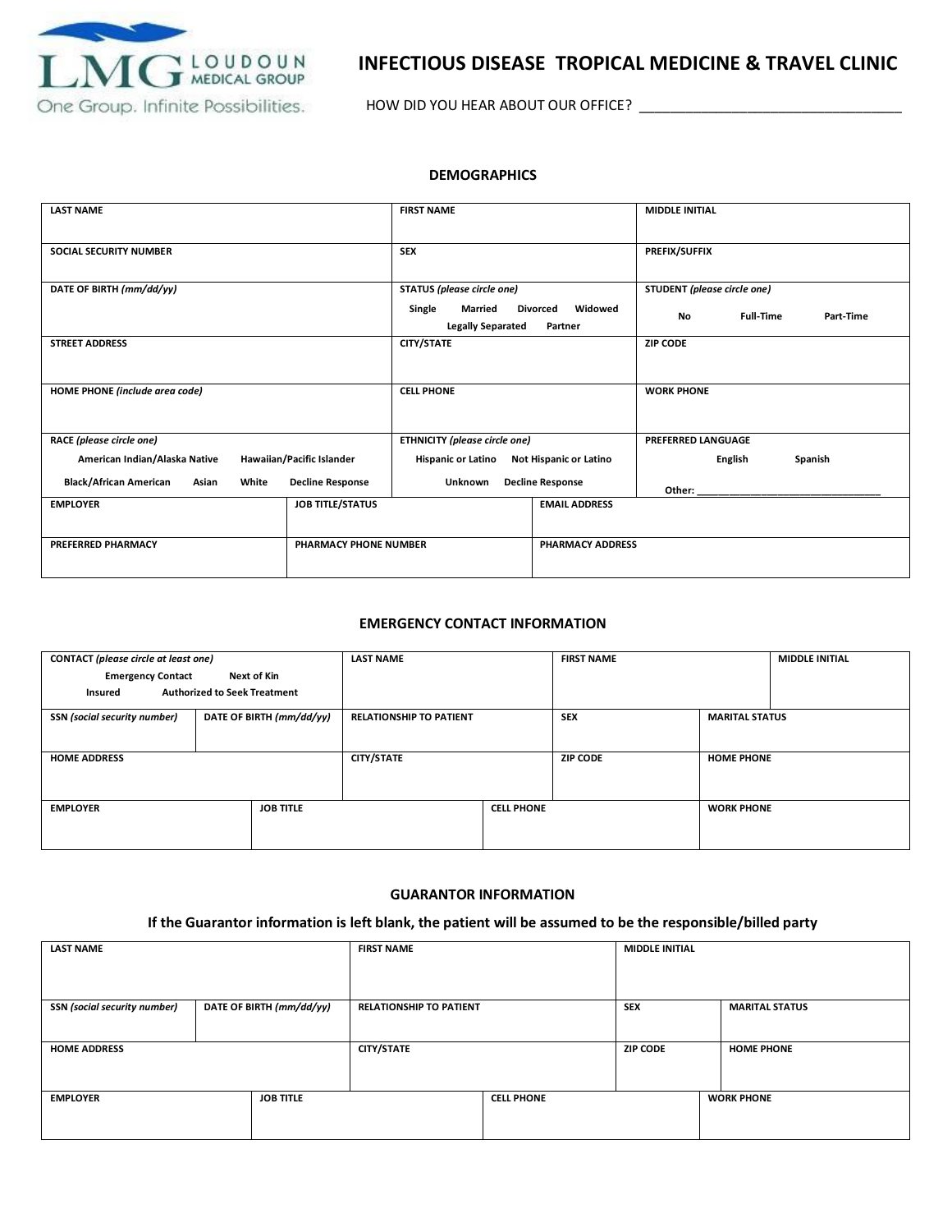

### **INFECTIOUS DISEASE TROPICAL MEDICINE & TRAVEL CLINIC**

HOW DID YOU HEAR ABOUT OUR OFFICE? \_\_\_\_\_\_\_\_\_\_\_\_\_\_\_\_\_\_\_\_\_\_\_\_\_\_\_\_\_\_\_\_\_\_

#### **DEMOGRAPHICS**

| <b>LAST NAME</b>                                |                              | <b>FIRST NAME</b>                             |                                       | <b>MIDDLE INITIAL</b>         |           |
|-------------------------------------------------|------------------------------|-----------------------------------------------|---------------------------------------|-------------------------------|-----------|
| <b>SOCIAL SECURITY NUMBER</b>                   |                              | <b>SEX</b>                                    |                                       | <b>PREFIX/SUFFIX</b>          |           |
| DATE OF BIRTH (mm/dd/yy)                        |                              | STATUS (please circle one)                    |                                       | STUDENT (please circle one)   |           |
|                                                 |                              | Single<br>Married<br><b>Legally Separated</b> | Widowed<br><b>Divorced</b><br>Partner | <b>Full-Time</b><br><b>No</b> | Part-Time |
| <b>STREET ADDRESS</b>                           |                              | CITY/STATE                                    |                                       | <b>ZIP CODE</b>               |           |
| HOME PHONE (include area code)                  |                              | <b>CELL PHONE</b>                             |                                       | <b>WORK PHONE</b>             |           |
| RACE (please circle one)                        |                              | <b>ETHNICITY</b> (please circle one)          |                                       | <b>PREFERRED LANGUAGE</b>     |           |
| American Indian/Alaska Native                   | Hawaiian/Pacific Islander    | <b>Hispanic or Latino</b>                     | Not Hispanic or Latino                | <b>English</b>                | Spanish   |
| <b>Black/African American</b><br>White<br>Asian | <b>Decline Response</b>      | <b>Unknown</b>                                | <b>Decline Response</b>               | Other:                        |           |
| <b>EMPLOYER</b>                                 | <b>JOB TITLE/STATUS</b>      |                                               | <b>EMAIL ADDRESS</b>                  |                               |           |
| <b>PREFERRED PHARMACY</b>                       | <b>PHARMACY PHONE NUMBER</b> |                                               | <b>PHARMACY ADDRESS</b>               |                               |           |

#### **EMERGENCY CONTACT INFORMATION**

| CONTACT (please circle at least one) |                                     | <b>LAST NAME</b>               |                   | <b>FIRST NAME</b> |                       | <b>MIDDLE INITIAL</b> |
|--------------------------------------|-------------------------------------|--------------------------------|-------------------|-------------------|-----------------------|-----------------------|
| <b>Emergency Contact</b>             | Next of Kin                         |                                |                   |                   |                       |                       |
| Insured                              | <b>Authorized to Seek Treatment</b> |                                |                   |                   |                       |                       |
| <b>SSN</b> (social security number)  | DATE OF BIRTH (mm/dd/yy)            | <b>RELATIONSHIP TO PATIENT</b> |                   | <b>SEX</b>        | <b>MARITAL STATUS</b> |                       |
|                                      |                                     |                                |                   |                   |                       |                       |
| <b>HOME ADDRESS</b>                  |                                     | <b>CITY/STATE</b>              |                   | <b>ZIP CODE</b>   | <b>HOME PHONE</b>     |                       |
|                                      |                                     |                                |                   |                   |                       |                       |
|                                      |                                     |                                |                   |                   |                       |                       |
| <b>EMPLOYER</b>                      | <b>JOB TITLE</b>                    |                                | <b>CELL PHONE</b> |                   | <b>WORK PHONE</b>     |                       |
|                                      |                                     |                                |                   |                   |                       |                       |
|                                      |                                     |                                |                   |                   |                       |                       |

#### **GUARANTOR INFORMATION**

### **If the Guarantor information is left blank, the patient will be assumed to be the responsible/billed party**

| <b>LAST NAME</b>             |                          | <b>FIRST NAME</b>              |                   | <b>MIDDLE INITIAL</b> |                       |
|------------------------------|--------------------------|--------------------------------|-------------------|-----------------------|-----------------------|
|                              |                          |                                |                   |                       |                       |
| SSN (social security number) | DATE OF BIRTH (mm/dd/yy) | <b>RELATIONSHIP TO PATIENT</b> |                   | <b>SEX</b>            | <b>MARITAL STATUS</b> |
| <b>HOME ADDRESS</b>          |                          | CITY/STATE                     |                   | <b>ZIP CODE</b>       | <b>HOME PHONE</b>     |
|                              |                          |                                |                   |                       |                       |
| <b>EMPLOYER</b>              | <b>JOB TITLE</b>         |                                | <b>CELL PHONE</b> |                       | <b>WORK PHONE</b>     |
|                              |                          |                                |                   |                       |                       |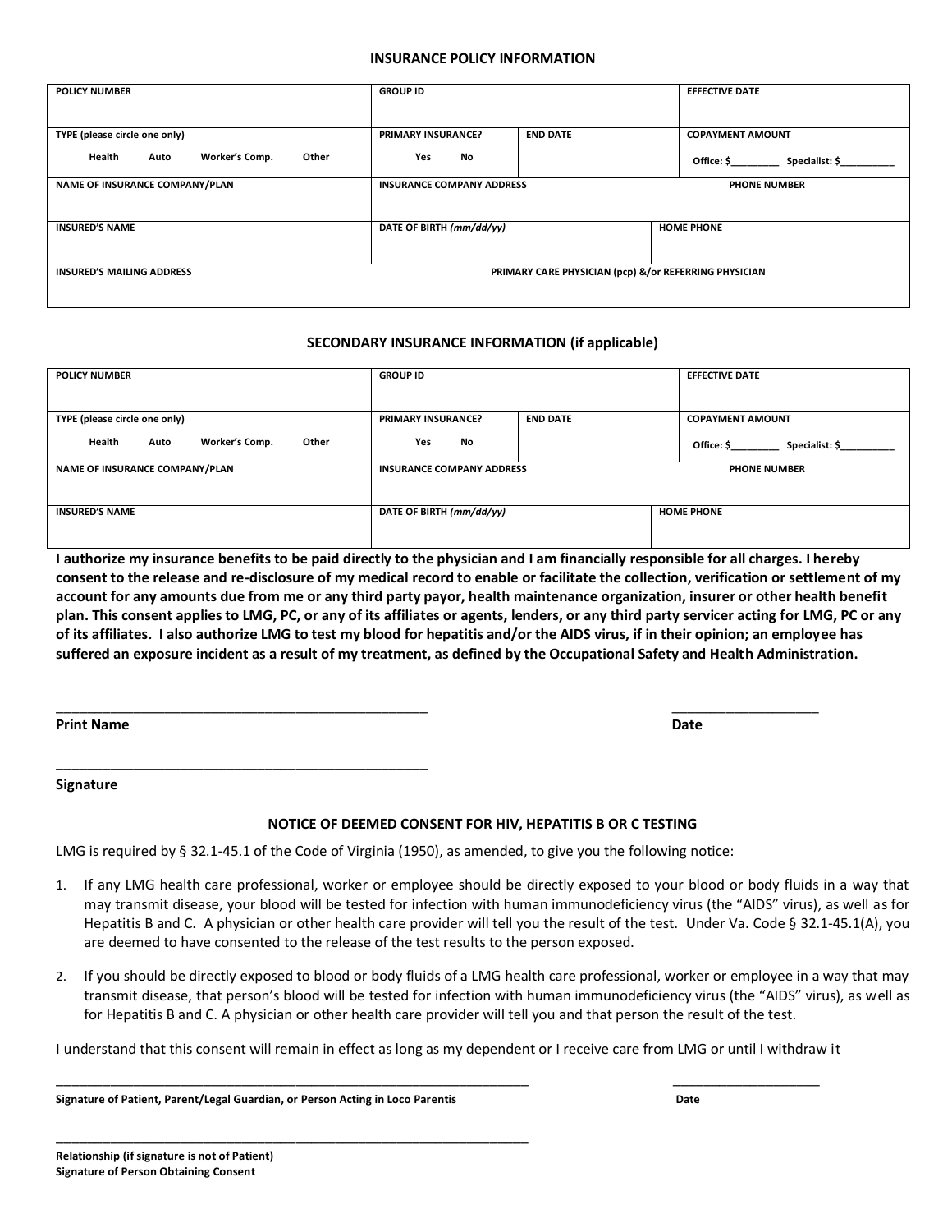#### **INSURANCE POLICY INFORMATION**

| <b>POLICY NUMBER</b>                      | <b>GROUP ID</b>                              |                                                       | <b>EFFECTIVE DATE</b>        |  |
|-------------------------------------------|----------------------------------------------|-------------------------------------------------------|------------------------------|--|
|                                           |                                              |                                                       |                              |  |
|                                           |                                              |                                                       |                              |  |
| TYPE (please circle one only)             | <b>END DATE</b><br><b>PRIMARY INSURANCE?</b> |                                                       | <b>COPAYMENT AMOUNT</b>      |  |
| Worker's Comp.<br>Health<br>Other<br>Auto | No<br>Yes                                    |                                                       | Office: \$<br>Specialist: \$ |  |
| NAME OF INSURANCE COMPANY/PLAN            | <b>INSURANCE COMPANY ADDRESS</b>             |                                                       | <b>PHONE NUMBER</b>          |  |
|                                           |                                              |                                                       |                              |  |
| <b>INSURED'S NAME</b>                     | DATE OF BIRTH (mm/dd/yy)                     |                                                       | <b>HOME PHONE</b>            |  |
|                                           |                                              |                                                       |                              |  |
| <b>INSURED'S MAILING ADDRESS</b>          |                                              | PRIMARY CARE PHYSICIAN (pcp) &/or REFERRING PHYSICIAN |                              |  |
|                                           |                                              |                                                       |                              |  |

### **SECONDARY INSURANCE INFORMATION (if applicable)**

| <b>POLICY NUMBER</b>                      | <b>GROUP ID</b>                              | <b>EFFECTIVE DATE</b>        |
|-------------------------------------------|----------------------------------------------|------------------------------|
|                                           |                                              |                              |
| TYPE (please circle one only)             | <b>PRIMARY INSURANCE?</b><br><b>END DATE</b> | <b>COPAYMENT AMOUNT</b>      |
| Health<br>Worker's Comp.<br>Other<br>Auto | Yes<br>No                                    | Office: \$<br>Specialist: \$ |
| NAME OF INSURANCE COMPANY/PLAN            | <b>INSURANCE COMPANY ADDRESS</b>             | <b>PHONE NUMBER</b>          |
|                                           |                                              |                              |
| <b>INSURED'S NAME</b>                     | DATE OF BIRTH (mm/dd/yy)                     | <b>HOME PHONE</b>            |
|                                           |                                              |                              |

**I authorize my insurance benefits to be paid directly to the physician and I am financially responsible for all charges. I hereby consent to the release and re-disclosure of my medical record to enable or facilitate the collection, verification or settlement of my account for any amounts due from me or any third party payor, health maintenance organization, insurer or other health benefit plan. This consent applies to LMG, PC, or any of its affiliates or agents, lenders, or any third party servicer acting for LMG, PC or any of its affiliates. I also authorize LMG to test my blood for hepatitis and/or the AIDS virus, if in their opinion; an employee has suffered an exposure incident as a result of my treatment, as defined by the Occupational Safety and Health Administration.**

**Print Name Date** 

\_\_\_\_\_\_\_\_\_\_\_\_\_\_\_\_\_\_\_\_\_\_\_\_\_\_\_\_\_\_\_\_\_\_\_\_\_\_\_\_\_\_\_\_\_\_\_\_ \_\_\_\_\_\_\_\_\_\_\_\_\_\_\_\_\_\_\_

**Signature** 

### **NOTICE OF DEEMED CONSENT FOR HIV, HEPATITIS B OR C TESTING**

LMG is required by § 32.1-45.1 of the Code of Virginia (1950), as amended, to give you the following notice:

- 1. If any LMG health care professional, worker or employee should be directly exposed to your blood or body fluids in a way that may transmit disease, your blood will be tested for infection with human immunodeficiency virus (the "AIDS" virus), as well as for Hepatitis B and C. A physician or other health care provider will tell you the result of the test. Under Va. Code § 32.1-45.1(A), you are deemed to have consented to the release of the test results to the person exposed.
- 2. If you should be directly exposed to blood or body fluids of a LMG health care professional, worker or employee in a way that may transmit disease, that person's blood will be tested for infection with human immunodeficiency virus (the "AIDS" virus), as well as for Hepatitis B and C. A physician or other health care provider will tell you and that person the result of the test.

I understand that this consent will remain in effect as long as my dependent or I receive care from LMG or until I withdraw it

\_\_\_\_\_\_\_\_\_\_\_\_\_\_\_\_\_\_\_\_\_\_\_\_\_\_\_\_\_\_\_\_\_\_\_\_\_\_\_\_\_\_\_\_\_\_\_\_\_\_\_\_\_\_\_\_\_\_\_\_\_ \_\_\_\_\_\_\_\_\_\_\_\_\_\_\_\_\_\_\_

**Signature of Patient, Parent/Legal Guardian, or Person Acting in Loco Parentis Date** 

\_\_\_\_\_\_\_\_\_\_\_\_\_\_\_\_\_\_\_\_\_\_\_\_\_\_\_\_\_\_\_\_\_\_\_\_\_\_\_\_\_\_\_\_\_\_\_\_\_\_\_\_\_\_\_\_\_\_\_\_\_

\_\_\_\_\_\_\_\_\_\_\_\_\_\_\_\_\_\_\_\_\_\_\_\_\_\_\_\_\_\_\_\_\_\_\_\_\_\_\_\_\_\_\_\_\_\_\_\_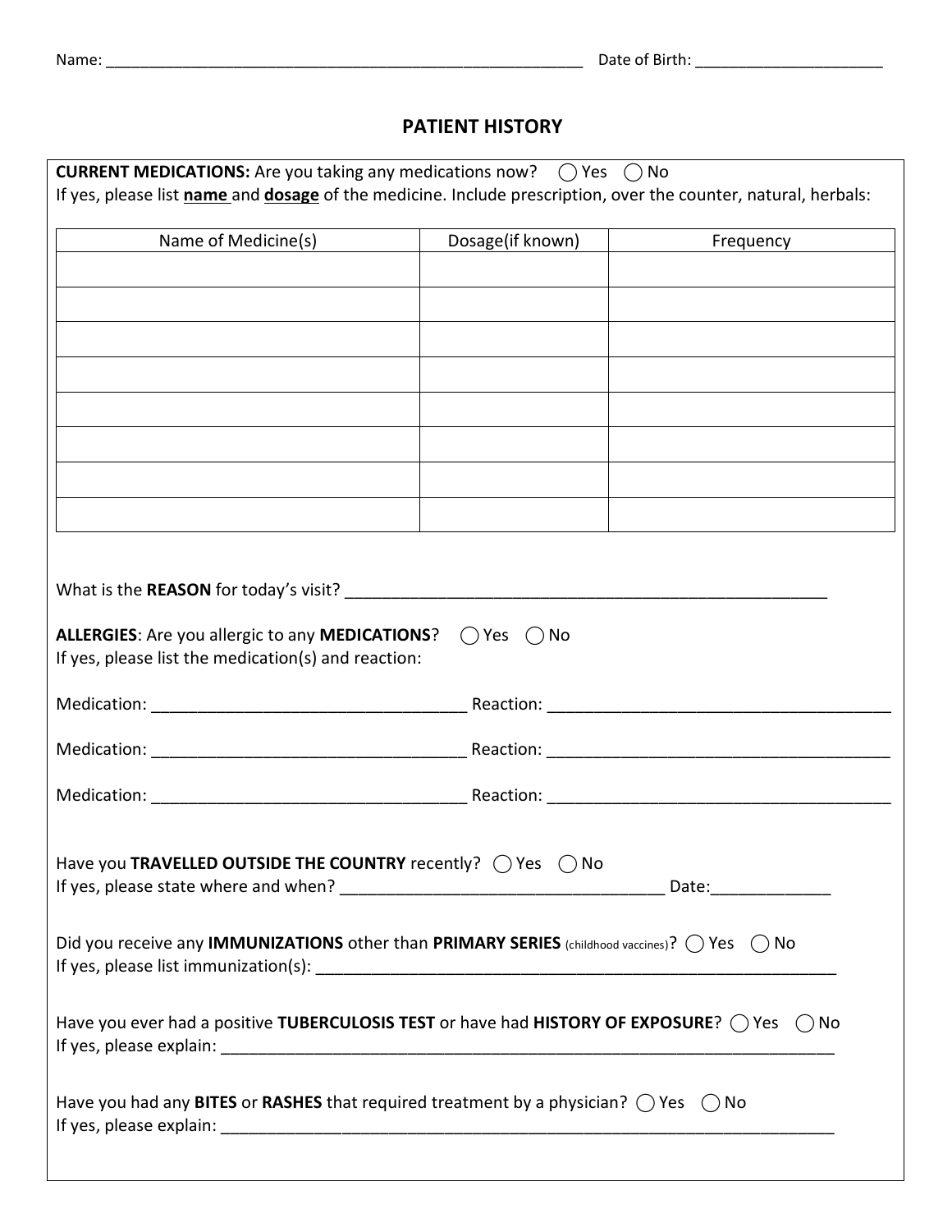## **PATIENT HISTORY**

| <b>CURRENT MEDICATIONS:</b> Are you taking any medications now? $\bigcirc$ Yes $\bigcirc$ No                   |                            |           |  |  |  |  |
|----------------------------------------------------------------------------------------------------------------|----------------------------|-----------|--|--|--|--|
| If yes, please list name and dosage of the medicine. Include prescription, over the counter, natural, herbals: |                            |           |  |  |  |  |
| Name of Medicine(s)                                                                                            | Dosage(if known)           | Frequency |  |  |  |  |
|                                                                                                                |                            |           |  |  |  |  |
|                                                                                                                |                            |           |  |  |  |  |
|                                                                                                                |                            |           |  |  |  |  |
|                                                                                                                |                            |           |  |  |  |  |
|                                                                                                                |                            |           |  |  |  |  |
|                                                                                                                |                            |           |  |  |  |  |
|                                                                                                                |                            |           |  |  |  |  |
|                                                                                                                |                            |           |  |  |  |  |
|                                                                                                                |                            |           |  |  |  |  |
|                                                                                                                |                            |           |  |  |  |  |
| What is the REASON for today's visit?                                                                          |                            |           |  |  |  |  |
|                                                                                                                |                            |           |  |  |  |  |
| ALLERGIES: Are you allergic to any MEDICATIONS?<br>If yes, please list the medication(s) and reaction:         | $\bigcap$ Yes $\bigcap$ No |           |  |  |  |  |
|                                                                                                                |                            |           |  |  |  |  |
|                                                                                                                |                            |           |  |  |  |  |
|                                                                                                                |                            |           |  |  |  |  |
|                                                                                                                |                            |           |  |  |  |  |
| Have you TRAVELLED OUTSIDE THE COUNTRY recently? ○ Yes ○ No                                                    |                            |           |  |  |  |  |
|                                                                                                                |                            |           |  |  |  |  |
| Did you receive any IMMUNIZATIONS other than PRIMARY SERIES (childhood vaccines)? $\bigcirc$ Yes $\bigcirc$ No |                            |           |  |  |  |  |
|                                                                                                                |                            |           |  |  |  |  |
| Have you ever had a positive TUBERCULOSIS TEST or have had HISTORY OF EXPOSURE? $\bigcirc$ Yes $\bigcirc$ No   |                            |           |  |  |  |  |
|                                                                                                                |                            |           |  |  |  |  |
| Have you had any BITES or RASHES that required treatment by a physician? $\bigcirc$ Yes $\bigcirc$ No          |                            |           |  |  |  |  |
|                                                                                                                |                            |           |  |  |  |  |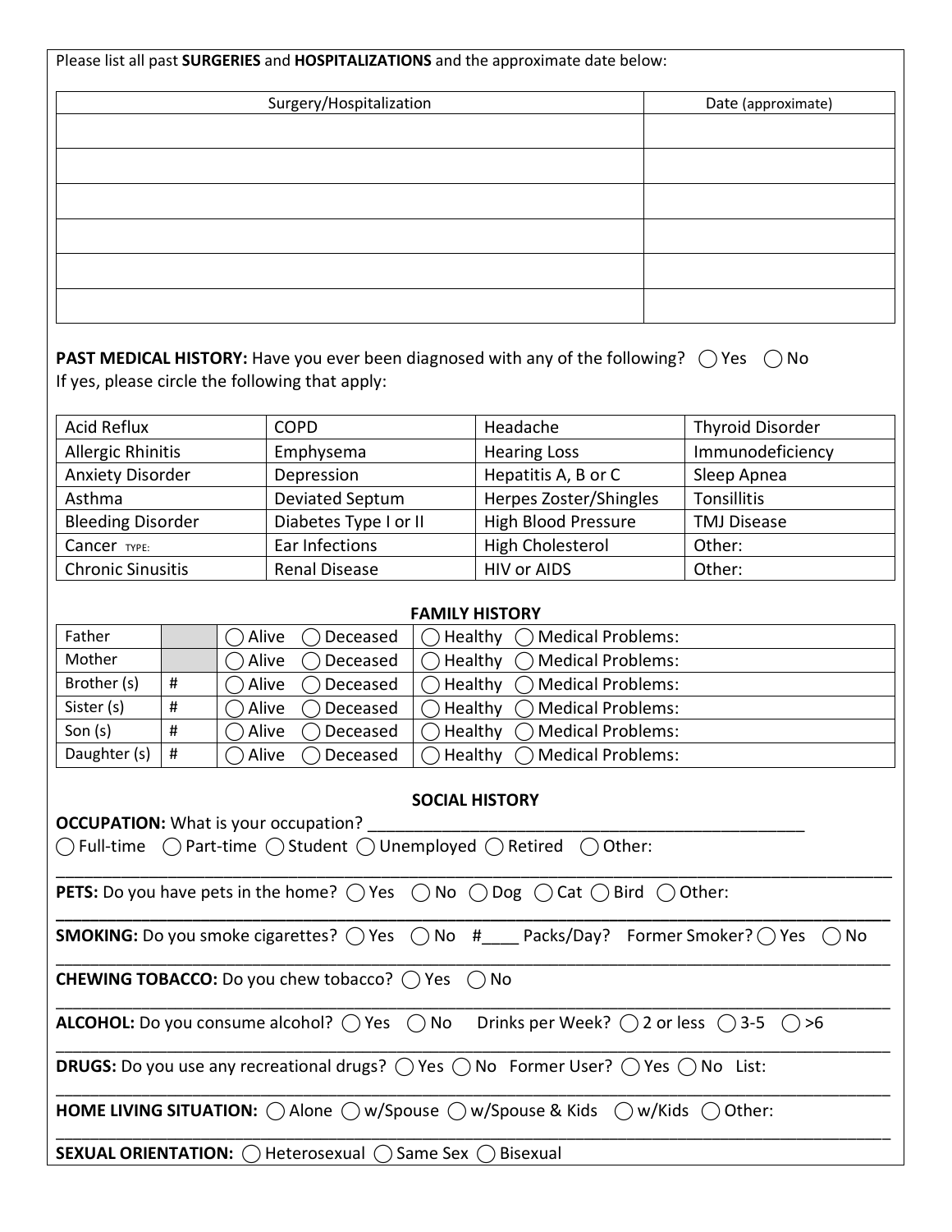|                                                                                                                                                                                                    |           |                | Surgery/Hospitalization                         |                    |                                                                                            | Date (approximate)      |
|----------------------------------------------------------------------------------------------------------------------------------------------------------------------------------------------------|-----------|----------------|-------------------------------------------------|--------------------|--------------------------------------------------------------------------------------------|-------------------------|
|                                                                                                                                                                                                    |           |                |                                                 |                    |                                                                                            |                         |
|                                                                                                                                                                                                    |           |                |                                                 |                    |                                                                                            |                         |
|                                                                                                                                                                                                    |           |                |                                                 |                    |                                                                                            |                         |
|                                                                                                                                                                                                    |           |                |                                                 |                    |                                                                                            |                         |
|                                                                                                                                                                                                    |           |                |                                                 |                    |                                                                                            |                         |
|                                                                                                                                                                                                    |           |                |                                                 |                    |                                                                                            |                         |
|                                                                                                                                                                                                    |           |                |                                                 |                    |                                                                                            |                         |
|                                                                                                                                                                                                    |           |                |                                                 |                    |                                                                                            |                         |
|                                                                                                                                                                                                    |           |                |                                                 |                    |                                                                                            |                         |
|                                                                                                                                                                                                    |           |                |                                                 |                    | <b>PAST MEDICAL HISTORY:</b> Have you ever been diagnosed with any of the following? ○ Yes | $()$ No                 |
|                                                                                                                                                                                                    |           |                | If yes, please circle the following that apply: |                    |                                                                                            |                         |
| <b>Acid Reflux</b>                                                                                                                                                                                 |           |                | <b>COPD</b>                                     |                    | Headache                                                                                   | <b>Thyroid Disorder</b> |
| <b>Allergic Rhinitis</b>                                                                                                                                                                           |           |                | Emphysema                                       |                    | <b>Hearing Loss</b>                                                                        | Immunodeficiency        |
|                                                                                                                                                                                                    |           |                | Depression                                      |                    | Hepatitis A, B or C                                                                        | Sleep Apnea             |
|                                                                                                                                                                                                    |           |                | Deviated Septum                                 |                    | Herpes Zoster/Shingles                                                                     | Tonsillitis             |
|                                                                                                                                                                                                    |           |                | Diabetes Type I or II                           |                    | <b>High Blood Pressure</b>                                                                 | <b>TMJ Disease</b>      |
|                                                                                                                                                                                                    |           |                | Ear Infections                                  |                    | <b>High Cholesterol</b>                                                                    | Other:                  |
|                                                                                                                                                                                                    |           |                | <b>Renal Disease</b>                            |                    | <b>HIV or AIDS</b>                                                                         | Other:                  |
|                                                                                                                                                                                                    |           |                |                                                 |                    | <b>FAMILY HISTORY</b>                                                                      |                         |
|                                                                                                                                                                                                    |           | Alive          | Deceased                                        | Healthy            | <b>Medical Problems:</b>                                                                   |                         |
|                                                                                                                                                                                                    |           | Alive          | Deceased                                        |                    | Healthy<br>◯ Medical Problems:                                                             |                         |
|                                                                                                                                                                                                    | $\sharp$  | Alive          | Deceased                                        |                    | ◯ Medical Problems:<br>Healthy                                                             |                         |
|                                                                                                                                                                                                    | #         | Alive          | Deceased                                        |                    | Medical Problems:<br>Healthy                                                               |                         |
| <b>Anxiety Disorder</b><br>Asthma<br><b>Bleeding Disorder</b><br>Cancer <sub>TYPE:</sub><br><b>Chronic Sinusitis</b><br>Father<br>Mother<br>Brother (s)<br>Sister (s)<br>Son $(s)$<br>Daughter (s) | $\#$<br># | Alive<br>Alive | Deceased                                        | Healthy<br>Healthy | <b>Medical Problems:</b><br><b>Medical Problems:</b>                                       |                         |

| <b>SOCIAL HISTORY</b> |  |
|-----------------------|--|
|-----------------------|--|

| <b>OCCUPATION:</b> What is your occupation?                                                                                             |  |  |  |  |  |
|-----------------------------------------------------------------------------------------------------------------------------------------|--|--|--|--|--|
| $\bigcap$ Full-time $\bigcap$ Part-time $\bigcap$ Student $\bigcap$ Unemployed $\bigcap$ Retired $\bigcap$ Other:                       |  |  |  |  |  |
| <b>PETS:</b> Do you have pets in the home? $\bigcirc$ Yes $\bigcirc$ No $\bigcirc$ Dog $\bigcirc$ Cat $\bigcirc$ Bird $\bigcirc$ Other: |  |  |  |  |  |
| <b>SMOKING:</b> Do you smoke cigarettes? $\bigcirc$ Yes $\bigcirc$ No $#$ Packs/Day? Former Smoker? $\bigcirc$ Yes $\bigcirc$ No        |  |  |  |  |  |
| <b>CHEWING TOBACCO:</b> Do you chew tobacco? () Yes () No                                                                               |  |  |  |  |  |
| <b>ALCOHOL:</b> Do you consume alcohol? $\bigcap$ Yes $\bigcap$ No Drinks per Week? $\bigcap$ 2 or less $\bigcap$ 3-5 $\bigcap$ >6      |  |  |  |  |  |
| <b>DRUGS:</b> Do you use any recreational drugs? $\bigcirc$ Yes $\bigcirc$ No Former User? $\bigcirc$ Yes $\bigcirc$ No List:           |  |  |  |  |  |
| <b>HOME LIVING SITUATION:</b> $\bigcirc$ Alone $\bigcirc$ w/Spouse $\bigcirc$ w/Spouse & Kids $\bigcirc$ w/Kids $\bigcirc$ Other:       |  |  |  |  |  |
| <b>SEXUAL ORIENTATION:</b> () Heterosexual () Same Sex () Bisexual                                                                      |  |  |  |  |  |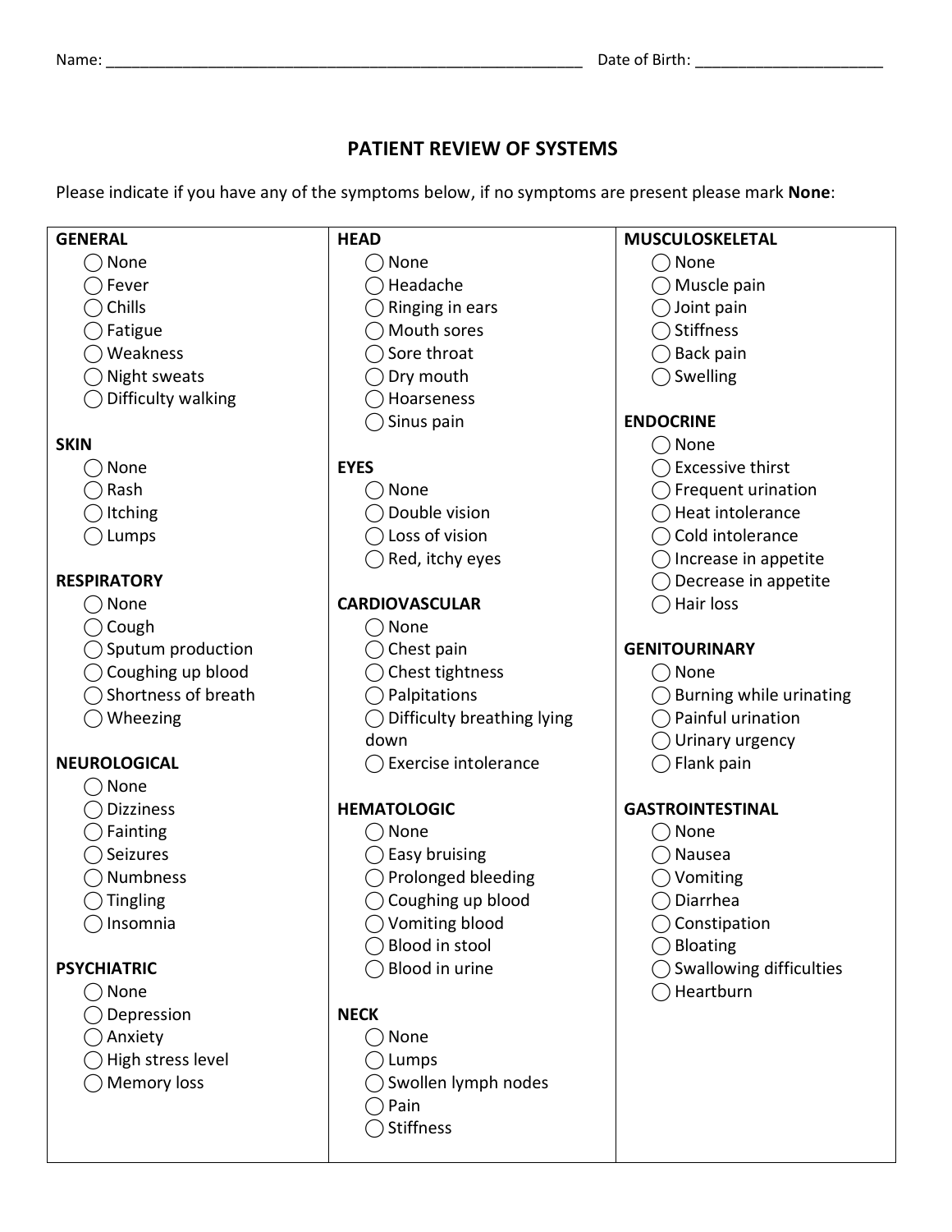### **PATIENT REVIEW OF SYSTEMS**

Please indicate if you have any of the symptoms below, if no symptoms are present please mark **None**:

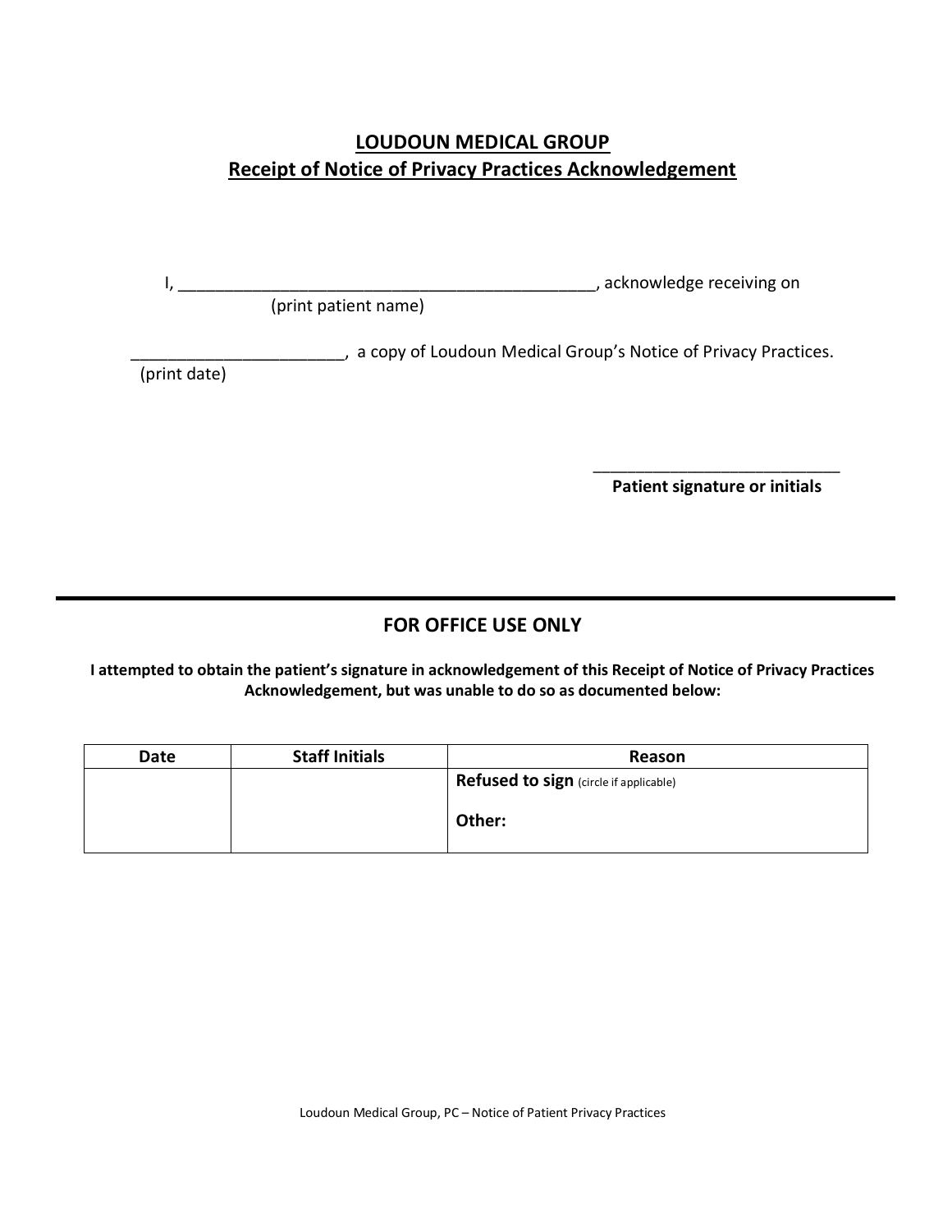# **LOUDOUN MEDICAL GROUP Receipt of Notice of Privacy Practices Acknowledgement**

I, \_\_\_\_\_\_\_\_\_\_\_\_\_\_\_\_\_\_\_\_\_\_\_\_\_\_\_\_\_\_\_\_\_\_\_\_\_\_\_\_\_\_\_\_\_, acknowledge receiving on

(print patient name)

\_\_\_\_\_\_\_\_\_\_\_\_\_\_\_\_\_\_\_\_\_\_\_, a copy of Loudoun Medical Group's Notice of Privacy Practices.

(print date)

 $\overline{\phantom{a}}$  , and the contract of the contract of the contract of the contract of the contract of the contract of the contract of the contract of the contract of the contract of the contract of the contract of the contrac **Patient signature or initials**

# **FOR OFFICE USE ONLY**

**I attempted to obtain the patient's signature in acknowledgement of this Receipt of Notice of Privacy Practices Acknowledgement, but was unable to do so as documented below:**

| <b>Date</b> | <b>Staff Initials</b> | Reason                                        |
|-------------|-----------------------|-----------------------------------------------|
|             |                       | <b>Refused to sign</b> (circle if applicable) |
|             |                       | Other:                                        |